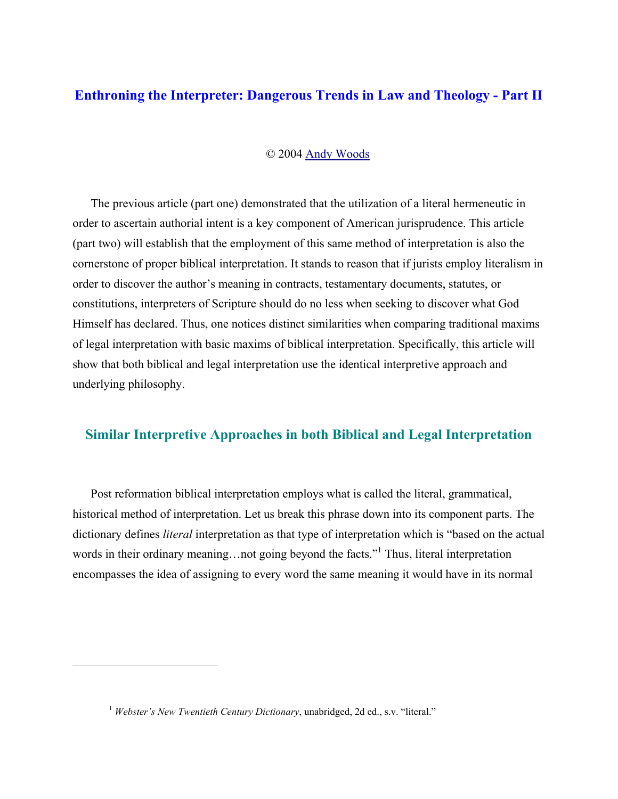# **Enthroning the Interpreter: Dangerous Trends in Law and Theology - Part II**

#### © 2004 Andy Woods

The previous article (part one) demonstrated that the utilization of a literal hermeneutic in order to ascertain authorial intent is a key component of American jurisprudence. This article (part two) will establish that the employment of this same method of interpretation is also the cornerstone of proper biblical interpretation. It stands to reason that if jurists employ literalism in order to discover the author's meaning in contracts, testamentary documents, statutes, or constitutions, interpreters of Scripture should do no less when seeking to discover what God Himself has declared. Thus, one notices distinct similarities when comparing traditional maxims of legal interpretation with basic maxims of biblical interpretation. Specifically, this article will show that both biblical and legal interpretation use the identical interpretive approach and underlying philosophy.

# **Similar Interpretive Approaches in both Biblical and Legal Interpretation**

Post reformation biblical interpretation employs what is called the literal, grammatical, historical method of interpretation. Let us break this phrase down into its component parts. The dictionary defines *literal* interpretation as that type of interpretation which is "based on the actual words in their ordinary meaning...not going beyond the facts."<sup>1</sup> Thus, literal interpretation encompasses the idea of assigning to every word the same meaning it would have in its normal

<u>.</u>

<sup>&</sup>lt;sup>1</sup> *Webster's New Twentieth Century Dictionary*, unabridged, 2d ed., s.y. "literal."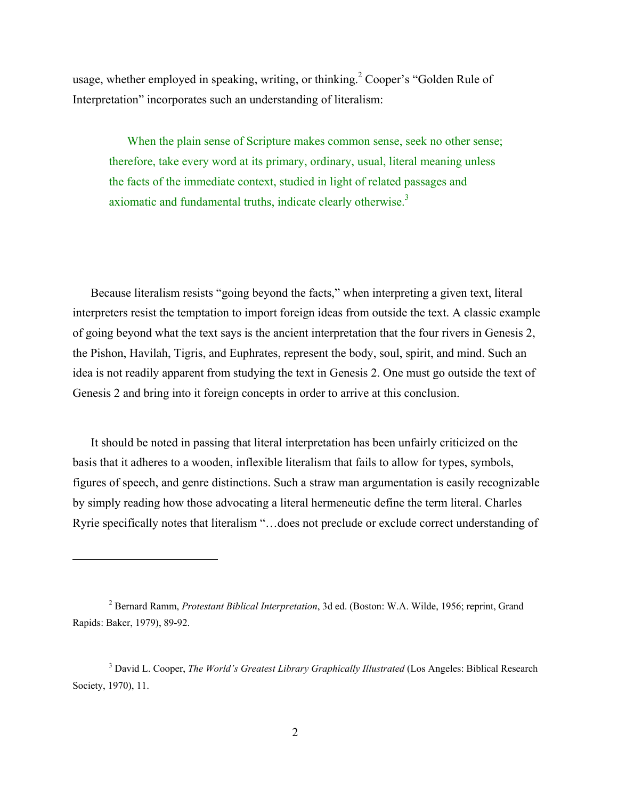usage, whether employed in speaking, writing, or thinking.<sup>2</sup> Cooper's "Golden Rule of Interpretation" incorporates such an understanding of literalism:

When the plain sense of Scripture makes common sense, seek no other sense; therefore, take every word at its primary, ordinary, usual, literal meaning unless the facts of the immediate context, studied in light of related passages and axiomatic and fundamental truths, indicate clearly otherwise.<sup>3</sup>

Because literalism resists "going beyond the facts," when interpreting a given text, literal interpreters resist the temptation to import foreign ideas from outside the text. A classic example of going beyond what the text says is the ancient interpretation that the four rivers in Genesis 2, the Pishon, Havilah, Tigris, and Euphrates, represent the body, soul, spirit, and mind. Such an idea is not readily apparent from studying the text in Genesis 2. One must go outside the text of Genesis 2 and bring into it foreign concepts in order to arrive at this conclusion.

It should be noted in passing that literal interpretation has been unfairly criticized on the basis that it adheres to a wooden, inflexible literalism that fails to allow for types, symbols, figures of speech, and genre distinctions. Such a straw man argumentation is easily recognizable by simply reading how those advocating a literal hermeneutic define the term literal. Charles Ryrie specifically notes that literalism "…does not preclude or exclude correct understanding of

<sup>2</sup> Bernard Ramm, *Protestant Biblical Interpretation*, 3d ed. (Boston: W.A. Wilde, 1956; reprint, Grand Rapids: Baker, 1979), 89-92.

<sup>&</sup>lt;sup>3</sup> David L. Cooper, *The World's Greatest Library Graphically Illustrated* (Los Angeles: Biblical Research Society, 1970), 11.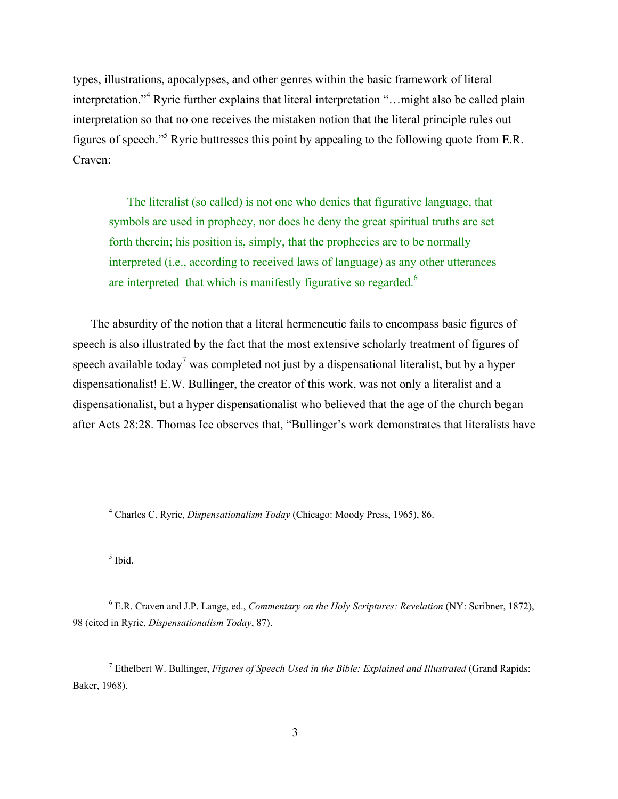types, illustrations, apocalypses, and other genres within the basic framework of literal interpretation."<sup>4</sup> Ryrie further explains that literal interpretation "...might also be called plain interpretation so that no one receives the mistaken notion that the literal principle rules out figures of speech."<sup>5</sup> Ryrie buttresses this point by appealing to the following quote from E.R. Craven:

The literalist (so called) is not one who denies that figurative language, that symbols are used in prophecy, nor does he deny the great spiritual truths are set forth therein; his position is, simply, that the prophecies are to be normally interpreted (i.e., according to received laws of language) as any other utterances are interpreted–that which is manifestly figurative so regarded.<sup>6</sup>

The absurdity of the notion that a literal hermeneutic fails to encompass basic figures of speech is also illustrated by the fact that the most extensive scholarly treatment of figures of speech available today<sup>7</sup> was completed not just by a dispensational literalist, but by a hyper dispensationalist! E.W. Bullinger, the creator of this work, was not only a literalist and a dispensationalist, but a hyper dispensationalist who believed that the age of the church began after Acts 28:28. Thomas Ice observes that, "Bullinger's work demonstrates that literalists have

4 Charles C. Ryrie, *Dispensationalism Today* (Chicago: Moody Press, 1965), 86.

5 Ibid.

 $\overline{a}$ 

6 E.R. Craven and J.P. Lange, ed., *Commentary on the Holy Scriptures: Revelation* (NY: Scribner, 1872), 98 (cited in Ryrie, *Dispensationalism Today*, 87).

7 Ethelbert W. Bullinger, *Figures of Speech Used in the Bible: Explained and Illustrated* (Grand Rapids: Baker, 1968).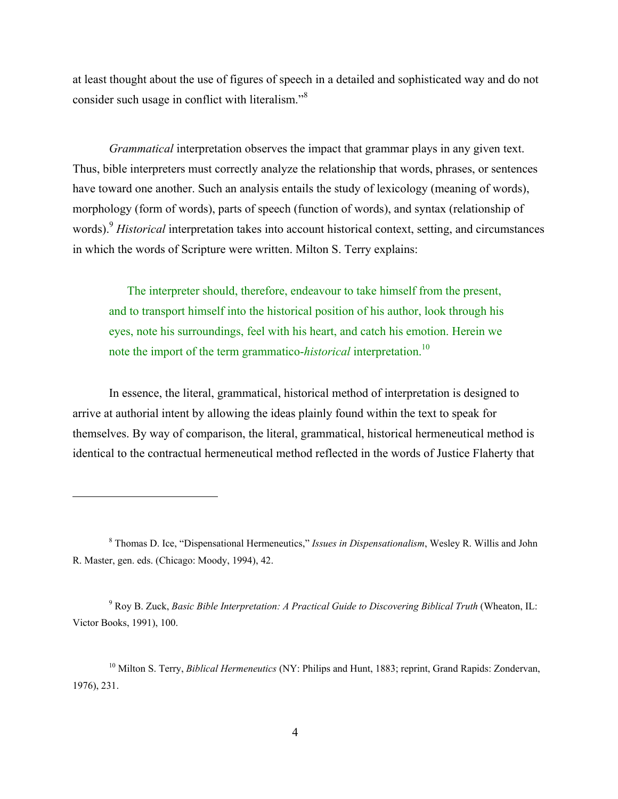at least thought about the use of figures of speech in a detailed and sophisticated way and do not consider such usage in conflict with literalism."8

*Grammatical* interpretation observes the impact that grammar plays in any given text. Thus, bible interpreters must correctly analyze the relationship that words, phrases, or sentences have toward one another. Such an analysis entails the study of lexicology (meaning of words), morphology (form of words), parts of speech (function of words), and syntax (relationship of words).9 *Historical* interpretation takes into account historical context, setting, and circumstances in which the words of Scripture were written. Milton S. Terry explains:

The interpreter should, therefore, endeavour to take himself from the present, and to transport himself into the historical position of his author, look through his eyes, note his surroundings, feel with his heart, and catch his emotion. Herein we note the import of the term grammatico-*historical* interpretation.<sup>10</sup>

 In essence, the literal, grammatical, historical method of interpretation is designed to arrive at authorial intent by allowing the ideas plainly found within the text to speak for themselves. By way of comparison, the literal, grammatical, historical hermeneutical method is identical to the contractual hermeneutical method reflected in the words of Justice Flaherty that

<sup>8</sup> Thomas D. Ice, "Dispensational Hermeneutics," *Issues in Dispensationalism*, Wesley R. Willis and John R. Master, gen. eds. (Chicago: Moody, 1994), 42.

<sup>9</sup> Roy B. Zuck, *Basic Bible Interpretation: A Practical Guide to Discovering Biblical Truth* (Wheaton, IL: Victor Books, 1991), 100.

<sup>10</sup> Milton S. Terry, *Biblical Hermeneutics* (NY: Philips and Hunt, 1883; reprint, Grand Rapids: Zondervan, 1976), 231.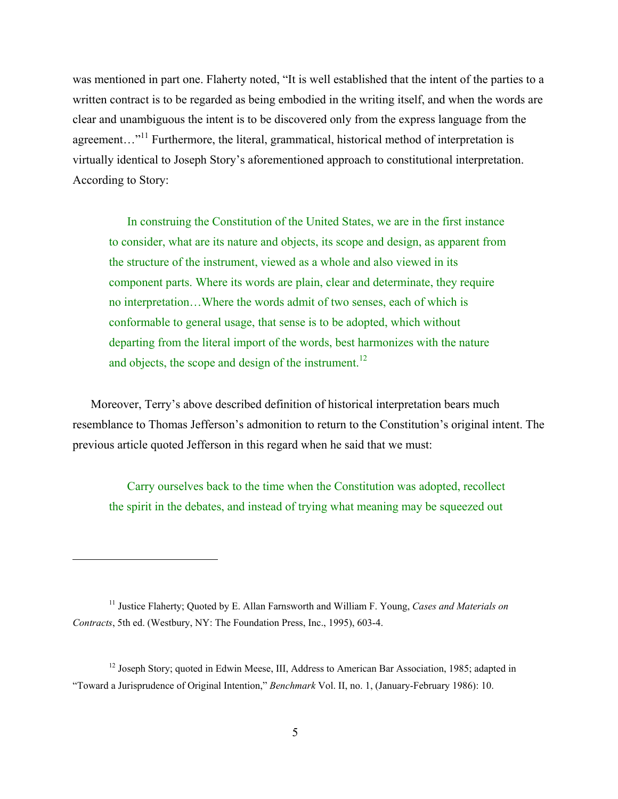was mentioned in part one. Flaherty noted, "It is well established that the intent of the parties to a written contract is to be regarded as being embodied in the writing itself, and when the words are clear and unambiguous the intent is to be discovered only from the express language from the agreement...<sup>"11</sup> Furthermore, the literal, grammatical, historical method of interpretation is virtually identical to Joseph Story's aforementioned approach to constitutional interpretation. According to Story:

In construing the Constitution of the United States, we are in the first instance to consider, what are its nature and objects, its scope and design, as apparent from the structure of the instrument, viewed as a whole and also viewed in its component parts. Where its words are plain, clear and determinate, they require no interpretation…Where the words admit of two senses, each of which is conformable to general usage, that sense is to be adopted, which without departing from the literal import of the words, best harmonizes with the nature and objects, the scope and design of the instrument.<sup>12</sup>

Moreover, Terry's above described definition of historical interpretation bears much resemblance to Thomas Jefferson's admonition to return to the Constitution's original intent. The previous article quoted Jefferson in this regard when he said that we must:

Carry ourselves back to the time when the Constitution was adopted, recollect the spirit in the debates, and instead of trying what meaning may be squeezed out

1

<sup>11</sup> Justice Flaherty; Quoted by E. Allan Farnsworth and William F. Young, *Cases and Materials on Contracts*, 5th ed. (Westbury, NY: The Foundation Press, Inc., 1995), 603-4.

<sup>&</sup>lt;sup>12</sup> Joseph Story; quoted in Edwin Meese, III, Address to American Bar Association, 1985; adapted in "Toward a Jurisprudence of Original Intention," *Benchmark* Vol. II, no. 1, (January-February 1986): 10.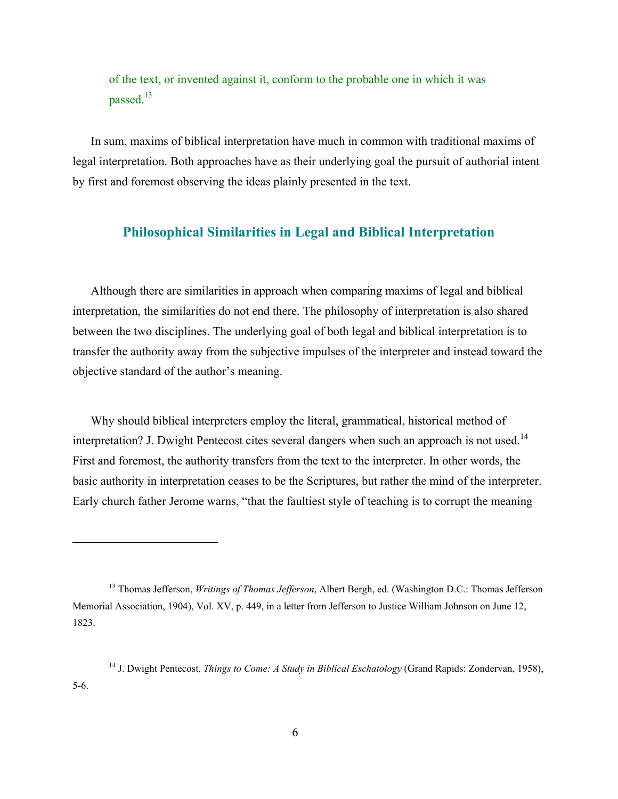of the text, or invented against it, conform to the probable one in which it was passed.<sup>13</sup>

In sum, maxims of biblical interpretation have much in common with traditional maxims of legal interpretation. Both approaches have as their underlying goal the pursuit of authorial intent by first and foremost observing the ideas plainly presented in the text.

### **Philosophical Similarities in Legal and Biblical Interpretation**

Although there are similarities in approach when comparing maxims of legal and biblical interpretation, the similarities do not end there. The philosophy of interpretation is also shared between the two disciplines. The underlying goal of both legal and biblical interpretation is to transfer the authority away from the subjective impulses of the interpreter and instead toward the objective standard of the author's meaning.

Why should biblical interpreters employ the literal, grammatical, historical method of interpretation? J. Dwight Pentecost cites several dangers when such an approach is not used.<sup>14</sup> First and foremost, the authority transfers from the text to the interpreter. In other words, the basic authority in interpretation ceases to be the Scriptures, but rather the mind of the interpreter. Early church father Jerome warns, "that the faultiest style of teaching is to corrupt the meaning

<u>.</u>

<sup>13</sup> Thomas Jefferson, *Writings of Thomas Jefferson*, Albert Bergh, ed. (Washington D.C.: Thomas Jefferson Memorial Association, 1904), Vol. XV, p. 449, in a letter from Jefferson to Justice William Johnson on June 12, 1823.

<sup>14</sup> J. Dwight Pentecost*, Things to Come: A Study in Biblical Eschatology* (Grand Rapids: Zondervan, 1958), 5-6.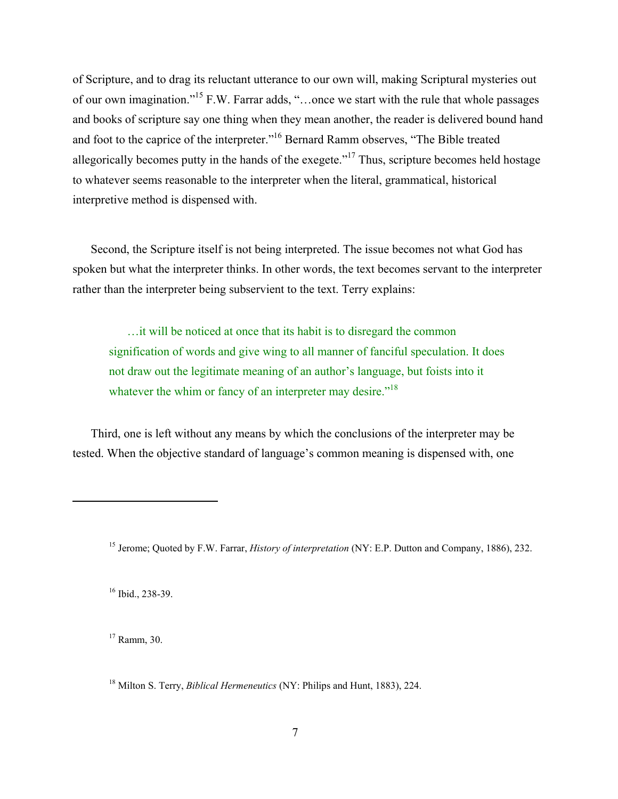of Scripture, and to drag its reluctant utterance to our own will, making Scriptural mysteries out of our own imagination."15 F.W. Farrar adds, "…once we start with the rule that whole passages and books of scripture say one thing when they mean another, the reader is delivered bound hand and foot to the caprice of the interpreter."16 Bernard Ramm observes, "The Bible treated allegorically becomes putty in the hands of the exegete."<sup>17</sup> Thus, scripture becomes held hostage to whatever seems reasonable to the interpreter when the literal, grammatical, historical interpretive method is dispensed with.

Second, the Scripture itself is not being interpreted. The issue becomes not what God has spoken but what the interpreter thinks. In other words, the text becomes servant to the interpreter rather than the interpreter being subservient to the text. Terry explains:

…it will be noticed at once that its habit is to disregard the common signification of words and give wing to all manner of fanciful speculation. It does not draw out the legitimate meaning of an author's language, but foists into it whatever the whim or fancy of an interpreter may desire."<sup>18</sup>

Third, one is left without any means by which the conclusions of the interpreter may be tested. When the objective standard of language's common meaning is dispensed with, one

16 Ibid., 238-39.

 $\overline{a}$ 

<sup>17</sup> Ramm, 30.

18 Milton S. Terry, *Biblical Hermeneutics* (NY: Philips and Hunt, 1883), 224.

<sup>15</sup> Jerome; Quoted by F.W. Farrar, *History of interpretation* (NY: E.P. Dutton and Company, 1886), 232.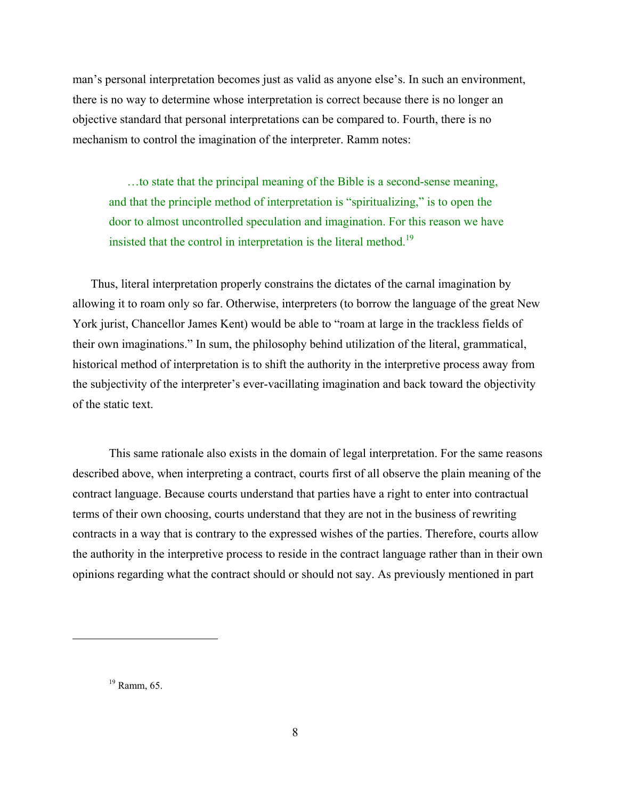man's personal interpretation becomes just as valid as anyone else's. In such an environment, there is no way to determine whose interpretation is correct because there is no longer an objective standard that personal interpretations can be compared to. Fourth, there is no mechanism to control the imagination of the interpreter. Ramm notes:

…to state that the principal meaning of the Bible is a second-sense meaning, and that the principle method of interpretation is "spiritualizing," is to open the door to almost uncontrolled speculation and imagination. For this reason we have insisted that the control in interpretation is the literal method.<sup>19</sup>

Thus, literal interpretation properly constrains the dictates of the carnal imagination by allowing it to roam only so far. Otherwise, interpreters (to borrow the language of the great New York jurist, Chancellor James Kent) would be able to "roam at large in the trackless fields of their own imaginations." In sum, the philosophy behind utilization of the literal, grammatical, historical method of interpretation is to shift the authority in the interpretive process away from the subjectivity of the interpreter's ever-vacillating imagination and back toward the objectivity of the static text.

 This same rationale also exists in the domain of legal interpretation. For the same reasons described above, when interpreting a contract, courts first of all observe the plain meaning of the contract language. Because courts understand that parties have a right to enter into contractual terms of their own choosing, courts understand that they are not in the business of rewriting contracts in a way that is contrary to the expressed wishes of the parties. Therefore, courts allow the authority in the interpretive process to reside in the contract language rather than in their own opinions regarding what the contract should or should not say. As previously mentioned in part

 $19$  Ramm, 65.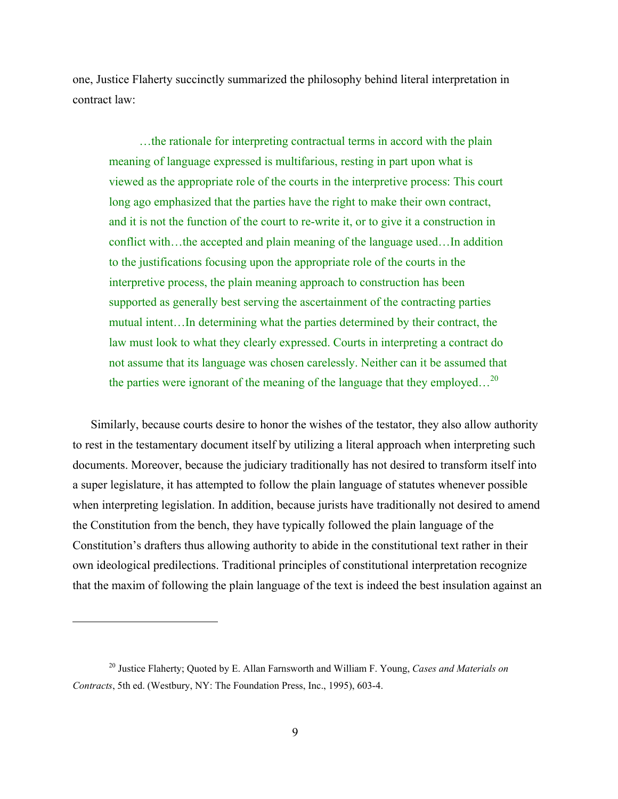one, Justice Flaherty succinctly summarized the philosophy behind literal interpretation in contract law:

 …the rationale for interpreting contractual terms in accord with the plain meaning of language expressed is multifarious, resting in part upon what is viewed as the appropriate role of the courts in the interpretive process: This court long ago emphasized that the parties have the right to make their own contract, and it is not the function of the court to re-write it, or to give it a construction in conflict with…the accepted and plain meaning of the language used…In addition to the justifications focusing upon the appropriate role of the courts in the interpretive process, the plain meaning approach to construction has been supported as generally best serving the ascertainment of the contracting parties mutual intent…In determining what the parties determined by their contract, the law must look to what they clearly expressed. Courts in interpreting a contract do not assume that its language was chosen carelessly. Neither can it be assumed that the parties were ignorant of the meaning of the language that they employed...<sup>20</sup>

Similarly, because courts desire to honor the wishes of the testator, they also allow authority to rest in the testamentary document itself by utilizing a literal approach when interpreting such documents. Moreover, because the judiciary traditionally has not desired to transform itself into a super legislature, it has attempted to follow the plain language of statutes whenever possible when interpreting legislation. In addition, because jurists have traditionally not desired to amend the Constitution from the bench, they have typically followed the plain language of the Constitution's drafters thus allowing authority to abide in the constitutional text rather in their own ideological predilections. Traditional principles of constitutional interpretation recognize that the maxim of following the plain language of the text is indeed the best insulation against an

1

<sup>20</sup> Justice Flaherty; Quoted by E. Allan Farnsworth and William F. Young, *Cases and Materials on Contracts*, 5th ed. (Westbury, NY: The Foundation Press, Inc., 1995), 603-4.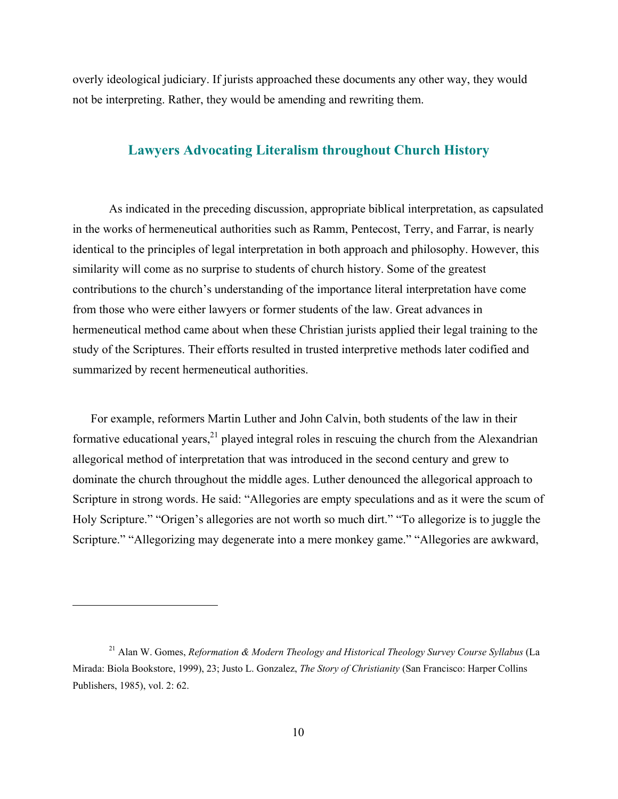overly ideological judiciary. If jurists approached these documents any other way, they would not be interpreting. Rather, they would be amending and rewriting them.

### **Lawyers Advocating Literalism throughout Church History**

 As indicated in the preceding discussion, appropriate biblical interpretation, as capsulated in the works of hermeneutical authorities such as Ramm, Pentecost, Terry, and Farrar, is nearly identical to the principles of legal interpretation in both approach and philosophy. However, this similarity will come as no surprise to students of church history. Some of the greatest contributions to the church's understanding of the importance literal interpretation have come from those who were either lawyers or former students of the law. Great advances in hermeneutical method came about when these Christian jurists applied their legal training to the study of the Scriptures. Their efforts resulted in trusted interpretive methods later codified and summarized by recent hermeneutical authorities.

For example, reformers Martin Luther and John Calvin, both students of the law in their formative educational years, $^{21}$  played integral roles in rescuing the church from the Alexandrian allegorical method of interpretation that was introduced in the second century and grew to dominate the church throughout the middle ages. Luther denounced the allegorical approach to Scripture in strong words. He said: "Allegories are empty speculations and as it were the scum of Holy Scripture." "Origen's allegories are not worth so much dirt." "To allegorize is to juggle the Scripture." "Allegorizing may degenerate into a mere monkey game." "Allegories are awkward,

<sup>21</sup> Alan W. Gomes, *Reformation & Modern Theology and Historical Theology Survey Course Syllabus* (La Mirada: Biola Bookstore, 1999), 23; Justo L. Gonzalez, *The Story of Christianity* (San Francisco: Harper Collins Publishers, 1985), vol. 2: 62.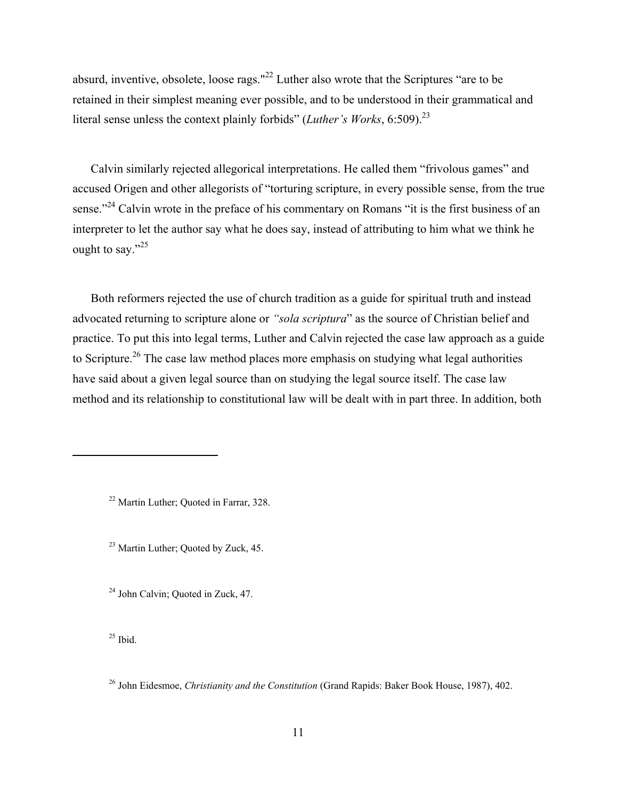absurd, inventive, obsolete, loose rags."<sup>22</sup> Luther also wrote that the Scriptures "are to be retained in their simplest meaning ever possible, and to be understood in their grammatical and literal sense unless the context plainly forbids" (*Luther's Works*, 6:509).<sup>23</sup>

Calvin similarly rejected allegorical interpretations. He called them "frivolous games" and accused Origen and other allegorists of "torturing scripture, in every possible sense, from the true sense."<sup>24</sup> Calvin wrote in the preface of his commentary on Romans "it is the first business of an interpreter to let the author say what he does say, instead of attributing to him what we think he ought to say." $25$ 

Both reformers rejected the use of church tradition as a guide for spiritual truth and instead advocated returning to scripture alone or *"sola scriptura*" as the source of Christian belief and practice. To put this into legal terms, Luther and Calvin rejected the case law approach as a guide to Scripture.<sup>26</sup> The case law method places more emphasis on studying what legal authorities have said about a given legal source than on studying the legal source itself. The case law method and its relationship to constitutional law will be dealt with in part three. In addition, both

22 Martin Luther; Quoted in Farrar, 328.

<sup>23</sup> Martin Luther; Quoted by Zuck, 45.

<sup>24</sup> John Calvin; Quoted in Zuck, 47.

 $25$  Ibid.

<sup>26</sup> John Eidesmoe, *Christianity and the Constitution* (Grand Rapids: Baker Book House, 1987), 402.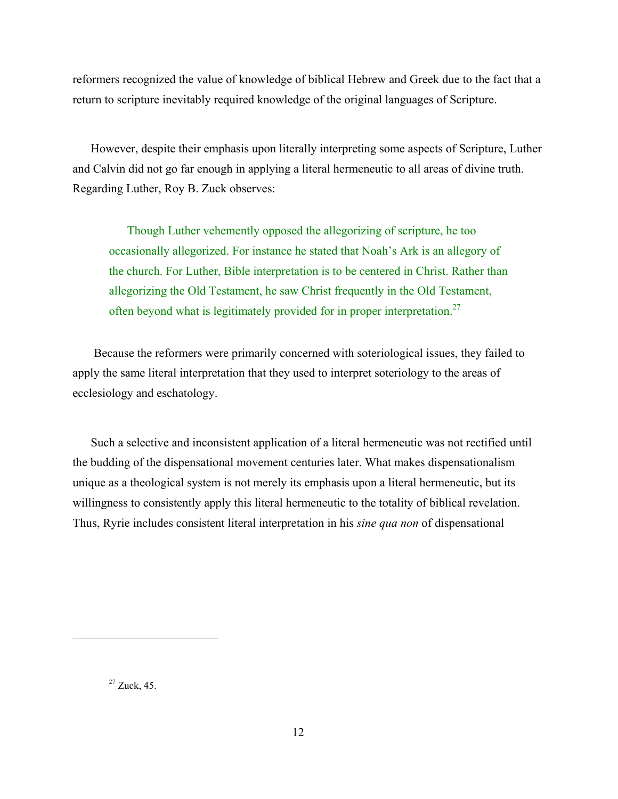reformers recognized the value of knowledge of biblical Hebrew and Greek due to the fact that a return to scripture inevitably required knowledge of the original languages of Scripture.

However, despite their emphasis upon literally interpreting some aspects of Scripture, Luther and Calvin did not go far enough in applying a literal hermeneutic to all areas of divine truth. Regarding Luther, Roy B. Zuck observes:

Though Luther vehemently opposed the allegorizing of scripture, he too occasionally allegorized. For instance he stated that Noah's Ark is an allegory of the church. For Luther, Bible interpretation is to be centered in Christ. Rather than allegorizing the Old Testament, he saw Christ frequently in the Old Testament, often beyond what is legitimately provided for in proper interpretation.<sup>27</sup>

 Because the reformers were primarily concerned with soteriological issues, they failed to apply the same literal interpretation that they used to interpret soteriology to the areas of ecclesiology and eschatology.

Such a selective and inconsistent application of a literal hermeneutic was not rectified until the budding of the dispensational movement centuries later. What makes dispensationalism unique as a theological system is not merely its emphasis upon a literal hermeneutic, but its willingness to consistently apply this literal hermeneutic to the totality of biblical revelation. Thus, Ryrie includes consistent literal interpretation in his *sine qua non* of dispensational

 $27$  Zuck, 45.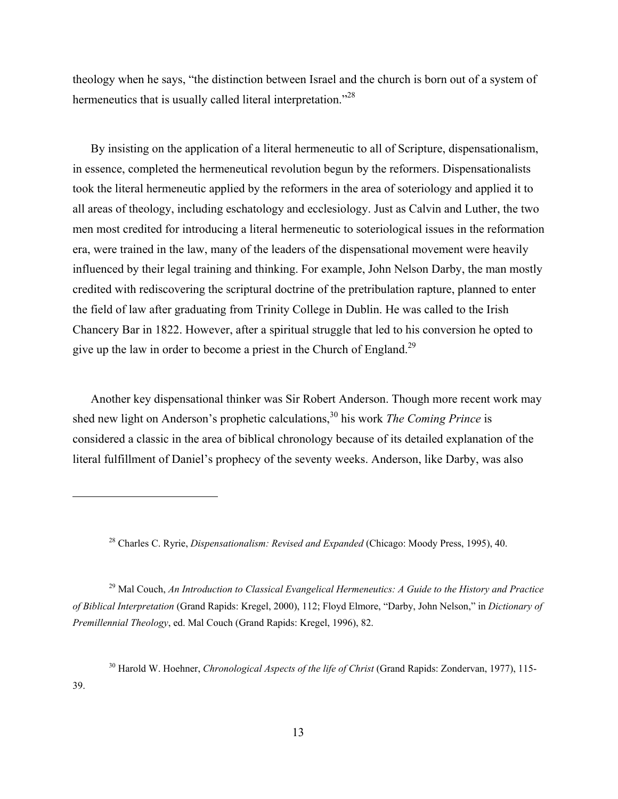theology when he says, "the distinction between Israel and the church is born out of a system of hermeneutics that is usually called literal interpretation."<sup>28</sup>

By insisting on the application of a literal hermeneutic to all of Scripture, dispensationalism, in essence, completed the hermeneutical revolution begun by the reformers. Dispensationalists took the literal hermeneutic applied by the reformers in the area of soteriology and applied it to all areas of theology, including eschatology and ecclesiology. Just as Calvin and Luther, the two men most credited for introducing a literal hermeneutic to soteriological issues in the reformation era, were trained in the law, many of the leaders of the dispensational movement were heavily influenced by their legal training and thinking. For example, John Nelson Darby, the man mostly credited with rediscovering the scriptural doctrine of the pretribulation rapture, planned to enter the field of law after graduating from Trinity College in Dublin. He was called to the Irish Chancery Bar in 1822. However, after a spiritual struggle that led to his conversion he opted to give up the law in order to become a priest in the Church of England.<sup>29</sup>

Another key dispensational thinker was Sir Robert Anderson. Though more recent work may shed new light on Anderson's prophetic calculations,<sup>30</sup> his work *The Coming Prince* is considered a classic in the area of biblical chronology because of its detailed explanation of the literal fulfillment of Daniel's prophecy of the seventy weeks. Anderson, like Darby, was also

28 Charles C. Ryrie, *Dispensationalism: Revised and Expanded* (Chicago: Moody Press, 1995), 40.

 $\overline{a}$ 

29 Mal Couch, *An Introduction to Classical Evangelical Hermeneutics: A Guide to the History and Practice of Biblical Interpretation* (Grand Rapids: Kregel, 2000), 112; Floyd Elmore, "Darby, John Nelson," in *Dictionary of Premillennial Theology*, ed. Mal Couch (Grand Rapids: Kregel, 1996), 82.

30 Harold W. Hoehner, *Chronological Aspects of the life of Christ* (Grand Rapids: Zondervan, 1977), 115- 39.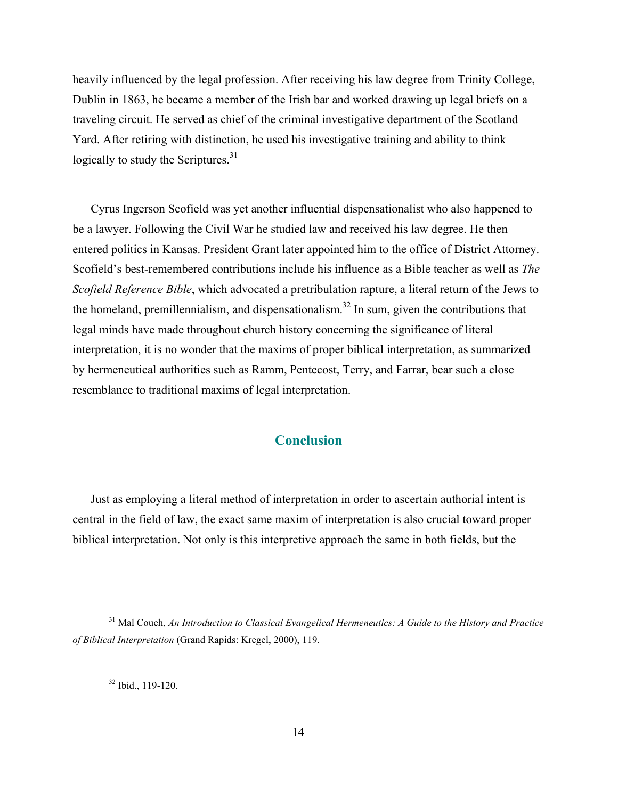heavily influenced by the legal profession. After receiving his law degree from Trinity College, Dublin in 1863, he became a member of the Irish bar and worked drawing up legal briefs on a traveling circuit. He served as chief of the criminal investigative department of the Scotland Yard. After retiring with distinction, he used his investigative training and ability to think logically to study the Scriptures. $31$ 

Cyrus Ingerson Scofield was yet another influential dispensationalist who also happened to be a lawyer. Following the Civil War he studied law and received his law degree. He then entered politics in Kansas. President Grant later appointed him to the office of District Attorney. Scofield's best-remembered contributions include his influence as a Bible teacher as well as *The Scofield Reference Bible*, which advocated a pretribulation rapture, a literal return of the Jews to the homeland, premillennialism, and dispensationalism.<sup>32</sup> In sum, given the contributions that legal minds have made throughout church history concerning the significance of literal interpretation, it is no wonder that the maxims of proper biblical interpretation, as summarized by hermeneutical authorities such as Ramm, Pentecost, Terry, and Farrar, bear such a close resemblance to traditional maxims of legal interpretation.

## **Conclusion**

Just as employing a literal method of interpretation in order to ascertain authorial intent is central in the field of law, the exact same maxim of interpretation is also crucial toward proper biblical interpretation. Not only is this interpretive approach the same in both fields, but the

 $32$  Ibid., 119-120.

<sup>31</sup> Mal Couch, *An Introduction to Classical Evangelical Hermeneutics: A Guide to the History and Practice of Biblical Interpretation* (Grand Rapids: Kregel, 2000), 119.